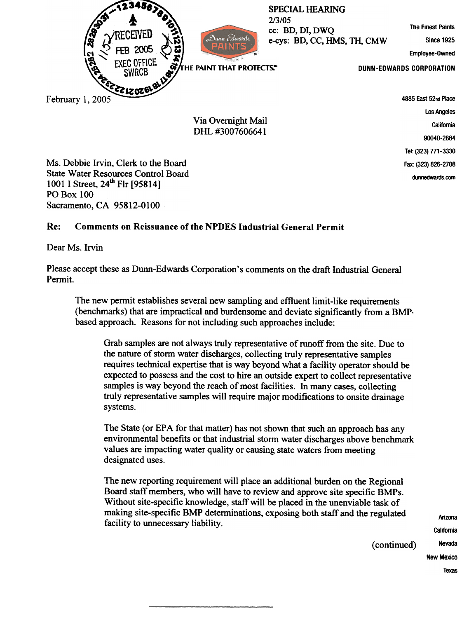

Ms. Debbie Irvin, Clerk to the Board State Water Resources Control Board 1001 I Street, 24<sup>th</sup> Flr [95814] **PO Box 100** Sacramento, CA 95812-0100

## Re: Comments on Reissuance of the NPDES Industrial General Permit

Dear Ms. Irvin:

Please accept these as Dunn-Edwards Corporation's comments on the draft Industrial General Permit.

The new permit establishes several new sampling and effluent limit-like requirements (benchmarks) that are impractical and burdensome and deviate significantly from a BMPbased approach. Reasons for not including such approaches include:

Grab samples are not always truly representative of runoff from the site. Due to the nature of storm water discharges, collecting truly representative samples requires technical expertise that is way beyond what a facility operator should be expected to possess and the cost to hire an outside expert to collect representative samples is way beyond the reach of most facilities. In many cases, collecting truly representative samples will require major modifications to onsite drainage systems.

The State (or EPA for that matter) has not shown that such an approach has any environmental benefits or that industrial storm water discharges above benchmark values are impacting water quality or causing state waters from meeting designated uses.

The new reporting requirement will place an additional burden on the Regional Board staff members, who will have to review and approve site specific BMPs. Without site-specific knowledge, staff will be placed in the unenviable task of making site-specific BMP determinations, exposing both staff and the regulated facility to unnecessary liability.

Arizona **California** Nevada New Mexico Texas

(continued)

Fax: (323) 826-2708 dunnedwards.com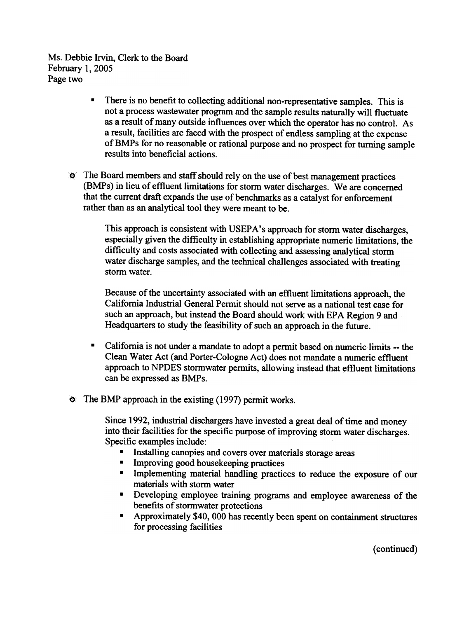Ms. Debbie Irvin. Clerk to the Board February I, 2005 Page two

- . There is no benefit to collecting additional non-representative samples. This is not a process wastewater program and the sample results naturally will fluctuate as a result of many outside influences over which the operator has no control. As a result, facilities are faced with the prospect of endless sampling at the expense of BMPs for no reasonable or rational purpose and no prospect for turning sample results into beneficial actions.
- The Board members and staff should rely on the use of best management practices (BMPs) in lieu of effluent limitations for storm water discharges. We are concerned that the current draft expands the use of benchmarks as a catalyst for enforcement rather than as an analytical tool they were meant to be.

This approach is consistent with USEPA's approach for storm water discharges, especially given the difficulty in establishing appropriate numeric limitations, the difficulty and costs associated with collecting and assessing analytical storm water discharge samples, and the technical challenges associated with treating storm water.

Because of the uncertainty associated with an effluent limitations approach, the California Industrial General Permit should not serve as a national test case for such an approach, but instead the Board should work with EPA Region 9 and Headquarters to study the feasibility of such an approach in the future.

- . California is not under a mandate to adopt a pemlit based on numeric limits -- the Clean Water Act (and Porter-Cologne Act) does not mandate a numeric effluent approach to NPDES stormwater permits, allowing instead that effluent limitations can be expressed as BMPs.
- **The BMP approach in the existing (1997) permit works.**

Since 1992, industrial dischargers have invested a great deal of time and money into their facilities for the specific purpose of improving storm water discharges. Specific examples include:

- Installing canopies and covers over materials storage areas
- **E** Improving good housekeeping practices
- . Implementing material handling practices to reduce the exposure of our materials with storm water
- . Developing employee training programs and employee awareness of the benefits of stormwater protections
- . Approximately \$40,000 has recently been spent on containment structures for processing facilities

(continued)